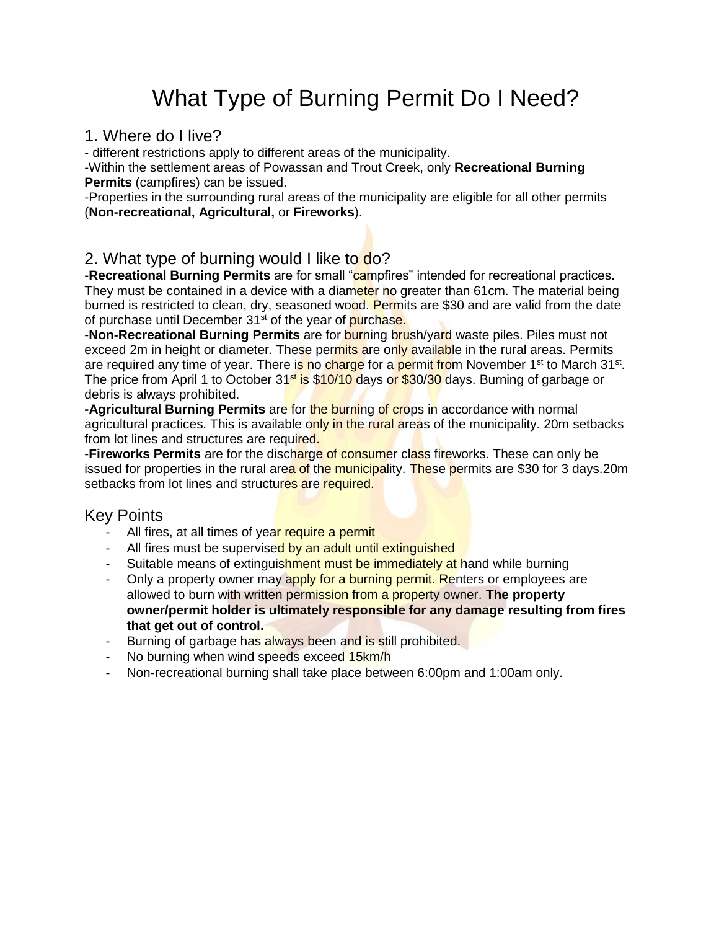# What Type of Burning Permit Do I Need?

#### 1. Where do I live?

- different restrictions apply to different areas of the municipality.

-Within the settlement areas of Powassan and Trout Creek, only **Recreational Burning Permits** (campfires) can be issued.

-Properties in the surrounding rural areas of the municipality are eligible for all other permits (**Non-recreational, Agricultural,** or **Fireworks**).

#### 2. What type of burning would I like to do?

-**Recreational Burning Permits** are for small "campfires" intended for recreational practices. They must be contained in a device with a diameter no greater than 61cm. The material being burned is restricted to clean, dry, seasoned wood. Permits are \$30 and are valid from the date of purchase until December 31<sup>st</sup> of the year of purchase.

-**Non-Recreational Burning Permits** are for burning brush/yard waste piles. Piles must not exceed 2m in height or diameter. These permits are only available in the rural areas. Permits are required any time of year. There is no charge for a permit from November 1<sup>st</sup> to March 31<sup>st</sup>. The price from April 1 to October 31<sup>st</sup> is \$10/10 days or \$30/30 days. Burning of garbage or debris is always prohibited.

**-Agricultural Burning Permits** are for the burning of crops in accordance with normal agricultural practices. This is available only in the rural areas of the municipality. 20m setbacks from lot lines and structures are required.

-**Fireworks Permits** are for the discharge of consumer class fireworks. These can only be issued for properties in the rural area of the municipality. These permits are \$30 for 3 days. 20m setbacks from lot lines and structures are required.

### Key Points

- All fires, at all times of year require a permit
- All fires must be supervised by an adult until extinguished
- Suitable means of extinguishment must be immediately at hand while burning
- Only a property owner may apply for a burning permit. Renters or employees are allowed to burn with written permission from a property owner. **The property owner/permit holder is ultimately responsible for any damage resulting from fires that get out of control.**
- Burning of garbage has always been and is still prohibited.
- No burning when wind speeds exceed 15km/h
- Non-recreational burning shall take place between 6:00pm and 1:00am only.